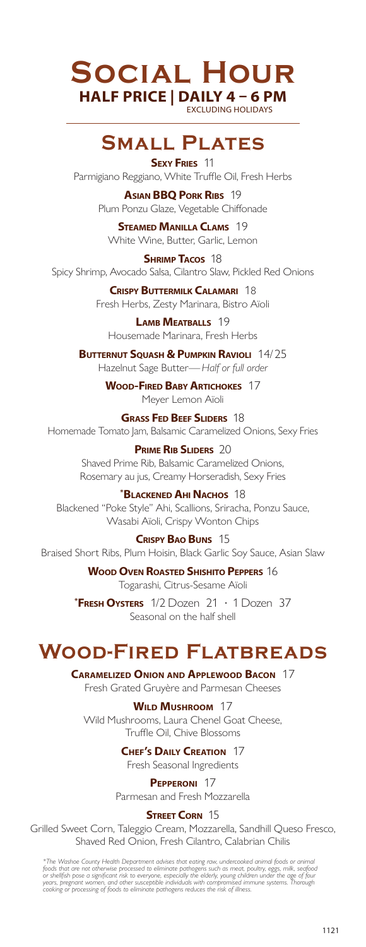# **Social Hour HALF PRICE | DAILY 4 – 6 PM** EXCLUDING HOLIDAYS

# **Small Plates**

**Sexy Fries** 11 Parmigiano Reggiano, White Truffle Oil, Fresh Herbs

> **Asian BBQ Pork Ribs** 19 Plum Ponzu Glaze, Vegetable Chiffonade

**Steamed Manilla Clams** 19 White Wine, Butter, Garlic, Lemon

**Shrimp Tacos** 18 Spicy Shrimp, Avocado Salsa, Cilantro Slaw, Pickled Red Onions

> **Crispy Buttermilk Calamari** 18 Fresh Herbs, Zesty Marinara, Bistro Aïoli

**Lamb Meatballs** 19 Housemade Marinara, Fresh Herbs

**Butternut Squash & Pumpkin Ravioli** 14/25 Hazelnut Sage Butter— *Half or full order*

> **Wood-Fired Baby Artichokes** 17 Meyer Lemon Aïoli

**Grass Fed Beef Sliders**18 Homemade Tomato Jam, Balsamic Caramelized Onions, Sexy Fries

> **Prime Rib Sliders**20 Shaved Prime Rib, Balsamic Caramelized Onions, Rosemary au jus, Creamy Horseradish, Sexy Fries

**\* Blackened AhiNachos** 18 Blackened "Poke Style" Ahi, Scallions, Sriracha, Ponzu Sauce, Wasabi Aïoli, Crispy Wonton Chips

**Crispy Bao Buns** 15 Braised Short Ribs, Plum Hoisin, Black Garlic Soy Sauce, Asian Slaw

> **Wood Oven Roasted Shishito Peppers** 16 Togarashi, Citrus-Sesame Aïoli

**\* Fresh Oysters** 1/2 Dozen 21 • 1 Dozen 37 Seasonal on the half shell

# **Wood-Fired Flatbreads**

**Caramelized Onion and Applewood Bacon** 17

Fresh Grated Gruyère and Parmesan Cheeses

# **Wild Mushroom** 17

Wild Mushrooms, Laura Chenel Goat Cheese, Truffle Oil, Chive Blossoms

**Chef's Daily Creation** 17

Fresh Seasonal Ingredients

# **Pepperoni** 17

Parmesan and Fresh Mozzarella

**STREET CORN 15** 

Grilled Sweet Corn, Taleggio Cream, Mozzarella, Sandhill Queso Fresco, Shaved Red Onion, Fresh Cilantro, Calabrian Chilis

\*The Washoe County Health Department advises that eating raw, undercooked animal foods or animal<br>foods that are not otherwise processed to eliminate pathogens such as meat, poultry, eggs, milk, seafood<br>or shellfah pose a s *cooking or processing of foods to eliminate pathogens reduces the risk of illness.*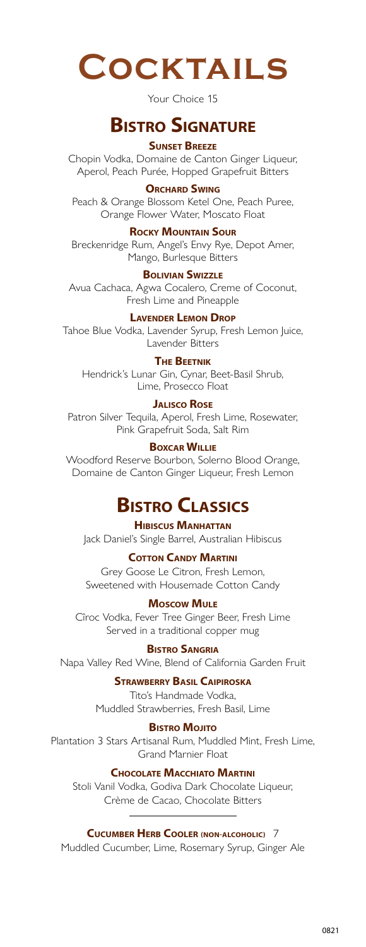**Cocktails**

Your Choice 15

# **Bistro Signature**

## **Sunset Breeze**

Chopin Vodka, Domaine de Canton Ginger Liqueur, Aperol, Peach Purée, Hopped Grapefruit Bitters

#### **Orchard Swing**

Peach & Orange Blossom Ketel One, Peach Puree, Orange Flower Water, Moscato Float

#### **Rocky Mountain Sour**

Breckenridge Rum, Angel's Envy Rye, Depot Amer, Mango, Burlesque Bitters

#### **Bolivian Swizzle**

Avua Cachaca, Agwa Cocalero, Creme of Coconut, Fresh Lime and Pineapple

#### **Lavender Lemon Drop**

Tahoe Blue Vodka, Lavender Syrup, Fresh Lemon Juice, Lavender Bitters

#### **The Beetnik**

Hendrick's Lunar Gin, Cynar, Beet-Basil Shrub, Lime, Prosecco Float

#### **Jalisco Rose**

Patron Silver Tequila, Aperol, Fresh Lime, Rosewater, Pink Grapefruit Soda, Salt Rim

## **Boxcar Willie**

Woodford Reserve Bourbon, Solerno Blood Orange, Domaine de Canton Ginger Liqueur, Fresh Lemon

# **Bistro Classics**

**Hibiscus Manhattan** Jack Daniel's Single Barrel, Australian Hibiscus

#### **COTTON CANDY MARTINI**

Grey Goose Le Citron, Fresh Lemon, Sweetened with Housemade Cotton Candy

## **Moscow Mule**

Cîroc Vodka, Fever Tree Ginger Beer, Fresh Lime Served in a traditional copper mug

#### **Bistro Sangria**

Napa Valley Red Wine, Blend of California Garden Fruit

#### **Strawberry Basil Caipiroska**

Tito's Handmade Vodka, Muddled Strawberries, Fresh Basil, Lime

#### **BISTRO MOJITO**

Plantation 3 Stars Artisanal Rum, Muddled Mint, Fresh Lime, Grand Marnier Float

#### **Chocolate Macchiato Martini**

Stoli Vanil Vodka, Godiva Dark Chocolate Liqueur, Crème de Cacao, Chocolate Bitters

## **Cucumber Herb Cooler (NON-ALCOHOLIC)** 7

Muddled Cucumber, Lime, Rosemary Syrup, Ginger Ale